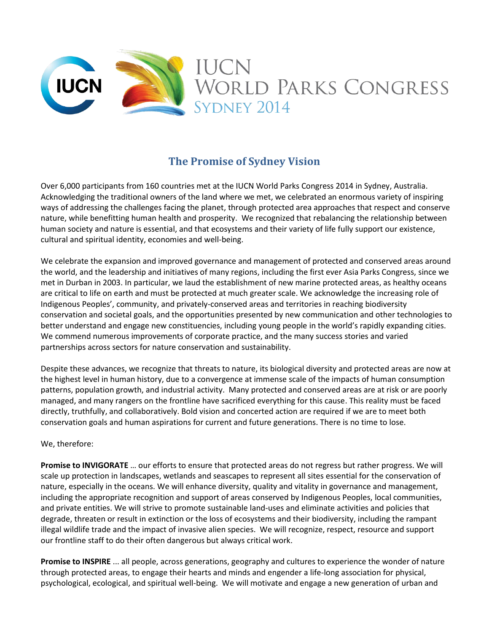

## **The Promise of Sydney Vision**

Over 6,000 participants from 160 countries met at the IUCN World Parks Congress 2014 in Sydney, Australia. Acknowledging the traditional owners of the land where we met, we celebrated an enormous variety of inspiring ways of addressing the challenges facing the planet, through protected area approaches that respect and conserve nature, while benefitting human health and prosperity. We recognized that rebalancing the relationship between human society and nature is essential, and that ecosystems and their variety of life fully support our existence, cultural and spiritual identity, economies and well-being.

We celebrate the expansion and improved governance and management of protected and conserved areas around the world, and the leadership and initiatives of many regions, including the first ever Asia Parks Congress, since we met in Durban in 2003. In particular, we laud the establishment of new marine protected areas, as healthy oceans are critical to life on earth and must be protected at much greater scale. We acknowledge the increasing role of Indigenous Peoples', community, and privately-conserved areas and territories in reaching biodiversity conservation and societal goals, and the opportunities presented by new communication and other technologies to better understand and engage new constituencies, including young people in the world's rapidly expanding cities. We commend numerous improvements of corporate practice, and the many success stories and varied partnerships across sectors for nature conservation and sustainability.

Despite these advances, we recognize that threats to nature, its biological diversity and protected areas are now at the highest level in human history, due to a convergence at immense scale of the impacts of human consumption patterns, population growth, and industrial activity. Many protected and conserved areas are at risk or are poorly managed, and many rangers on the frontline have sacrificed everything for this cause. This reality must be faced directly, truthfully, and collaboratively. Bold vision and concerted action are required if we are to meet both conservation goals and human aspirations for current and future generations. There is no time to lose.

## We, therefore:

**Promise to INVIGORATE** … our efforts to ensure that protected areas do not regress but rather progress. We will scale up protection in landscapes, wetlands and seascapes to represent all sites essential for the conservation of nature, especially in the oceans. We will enhance diversity, quality and vitality in governance and management, including the appropriate recognition and support of areas conserved by Indigenous Peoples, local communities, and private entities. We will strive to promote sustainable land-uses and eliminate activities and policies that degrade, threaten or result in extinction or the loss of ecosystems and their biodiversity, including the rampant illegal wildlife trade and the impact of invasive alien species. We will recognize, respect, resource and support our frontline staff to do their often dangerous but always critical work.

**Promise to INSPIRE** ... all people, across generations, geography and cultures to experience the wonder of nature through protected areas, to engage their hearts and minds and engender a life-long association for physical, psychological, ecological, and spiritual well-being. We will motivate and engage a new generation of urban and